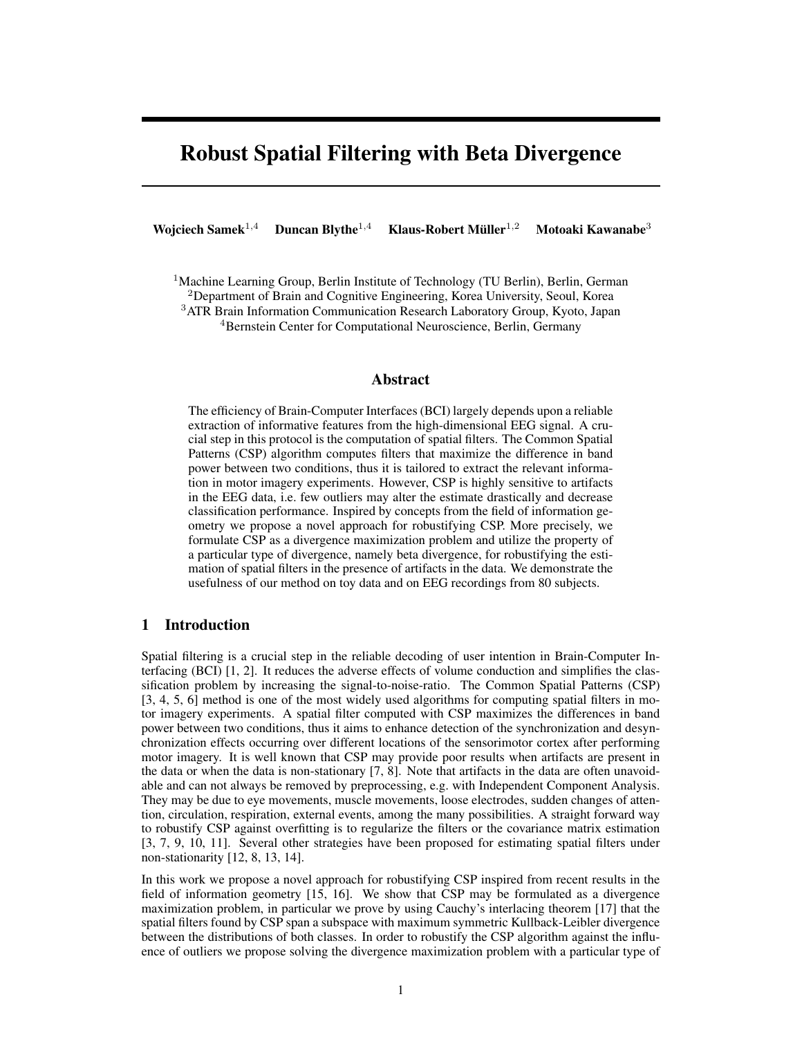# Robust Spatial Filtering with Beta Divergence

Wojciech Samek<sup>1,4</sup> Duncan Blythe<sup>1,4</sup> Klaus-Robert Müller<sup>1,2</sup> Motoaki Kawanabe<sup>3</sup>

<sup>1</sup>Machine Learning Group, Berlin Institute of Technology (TU Berlin), Berlin, German <sup>2</sup>Department of Brain and Cognitive Engineering, Korea University, Seoul, Korea <sup>3</sup>ATR Brain Information Communication Research Laboratory Group, Kyoto, Japan

<sup>4</sup>Bernstein Center for Computational Neuroscience, Berlin, Germany

### Abstract

The efficiency of Brain-Computer Interfaces (BCI) largely depends upon a reliable extraction of informative features from the high-dimensional EEG signal. A crucial step in this protocol is the computation of spatial filters. The Common Spatial Patterns (CSP) algorithm computes filters that maximize the difference in band power between two conditions, thus it is tailored to extract the relevant information in motor imagery experiments. However, CSP is highly sensitive to artifacts in the EEG data, i.e. few outliers may alter the estimate drastically and decrease classification performance. Inspired by concepts from the field of information geometry we propose a novel approach for robustifying CSP. More precisely, we formulate CSP as a divergence maximization problem and utilize the property of a particular type of divergence, namely beta divergence, for robustifying the estimation of spatial filters in the presence of artifacts in the data. We demonstrate the usefulness of our method on toy data and on EEG recordings from 80 subjects.

# 1 Introduction

Spatial filtering is a crucial step in the reliable decoding of user intention in Brain-Computer Interfacing (BCI) [1, 2]. It reduces the adverse effects of volume conduction and simplifies the classification problem by increasing the signal-to-noise-ratio. The Common Spatial Patterns (CSP) [3, 4, 5, 6] method is one of the most widely used algorithms for computing spatial filters in motor imagery experiments. A spatial filter computed with CSP maximizes the differences in band power between two conditions, thus it aims to enhance detection of the synchronization and desynchronization effects occurring over different locations of the sensorimotor cortex after performing motor imagery. It is well known that CSP may provide poor results when artifacts are present in the data or when the data is non-stationary [7, 8]. Note that artifacts in the data are often unavoidable and can not always be removed by preprocessing, e.g. with Independent Component Analysis. They may be due to eye movements, muscle movements, loose electrodes, sudden changes of attention, circulation, respiration, external events, among the many possibilities. A straight forward way to robustify CSP against overfitting is to regularize the filters or the covariance matrix estimation [3, 7, 9, 10, 11]. Several other strategies have been proposed for estimating spatial filters under non-stationarity [12, 8, 13, 14].

In this work we propose a novel approach for robustifying CSP inspired from recent results in the field of information geometry [15, 16]. We show that CSP may be formulated as a divergence maximization problem, in particular we prove by using Cauchy's interlacing theorem [17] that the spatial filters found by CSP span a subspace with maximum symmetric Kullback-Leibler divergence between the distributions of both classes. In order to robustify the CSP algorithm against the influence of outliers we propose solving the divergence maximization problem with a particular type of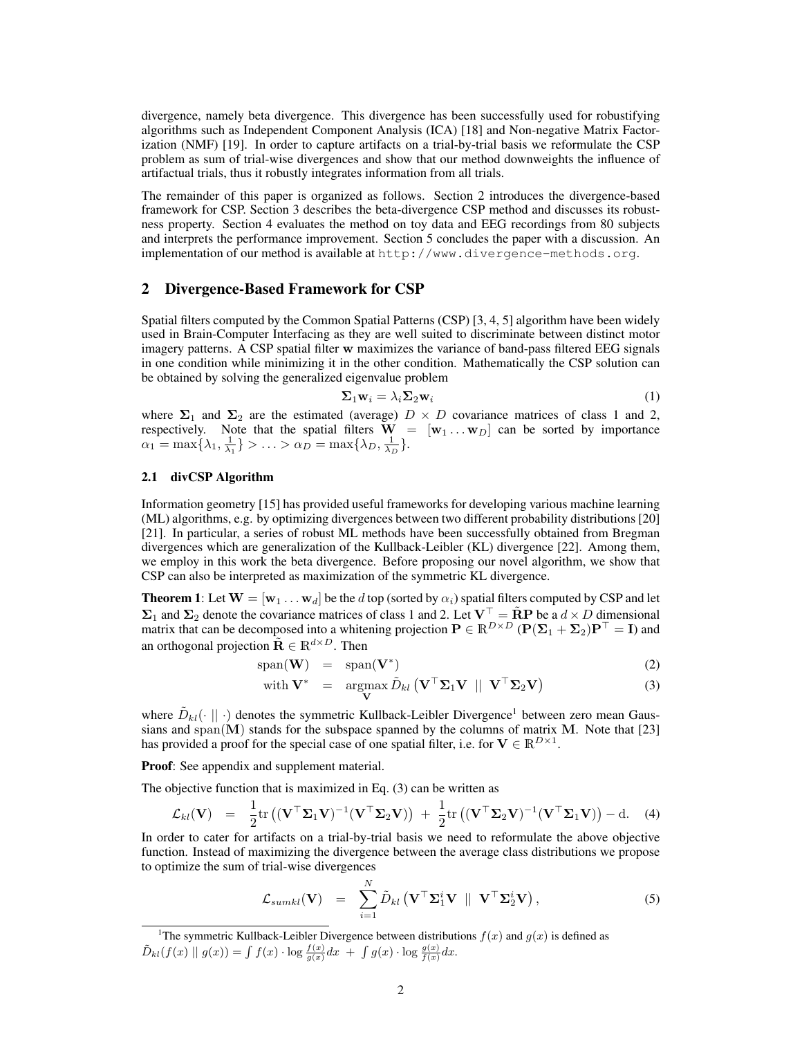divergence, namely beta divergence. This divergence has been successfully used for robustifying algorithms such as Independent Component Analysis (ICA) [18] and Non-negative Matrix Factorization (NMF) [19]. In order to capture artifacts on a trial-by-trial basis we reformulate the CSP problem as sum of trial-wise divergences and show that our method downweights the influence of artifactual trials, thus it robustly integrates information from all trials.

The remainder of this paper is organized as follows. Section 2 introduces the divergence-based framework for CSP. Section 3 describes the beta-divergence CSP method and discusses its robustness property. Section 4 evaluates the method on toy data and EEG recordings from 80 subjects and interprets the performance improvement. Section 5 concludes the paper with a discussion. An implementation of our method is available at http://www.divergence-methods.org.

## 2 Divergence-Based Framework for CSP

Spatial filters computed by the Common Spatial Patterns (CSP) [3, 4, 5] algorithm have been widely used in Brain-Computer Interfacing as they are well suited to discriminate between distinct motor imagery patterns. A CSP spatial filter w maximizes the variance of band-pass filtered EEG signals in one condition while minimizing it in the other condition. Mathematically the CSP solution can be obtained by solving the generalized eigenvalue problem

$$
\Sigma_1 \mathbf{w}_i = \lambda_i \Sigma_2 \mathbf{w}_i \tag{1}
$$

where  $\Sigma_1$  and  $\Sigma_2$  are the estimated (average)  $D \times D$  covariance matrices of class 1 and 2, respectively. Note that the spatial filters  $\mathbf{W} = [\mathbf{w}_1 \dots \mathbf{w}_D]$  can be sorted by importance  $\alpha_1 = \max\{\lambda_1, \frac{1}{\lambda_1}\} > \ldots > \alpha_D = \max\{\lambda_D, \frac{1}{\lambda_D}\}.$ 

### 2.1 divCSP Algorithm

Information geometry [15] has provided useful frameworks for developing various machine learning (ML) algorithms, e.g. by optimizing divergences between two different probability distributions [20] [21]. In particular, a series of robust ML methods have been successfully obtained from Bregman divergences which are generalization of the Kullback-Leibler (KL) divergence [22]. Among them, we employ in this work the beta divergence. Before proposing our novel algorithm, we show that CSP can also be interpreted as maximization of the symmetric KL divergence.

**Theorem 1**: Let  $W = [w_1 \dots w_d]$  be the d top (sorted by  $\alpha_i$ ) spatial filters computed by CSP and let  $\Sigma_1$  and  $\Sigma_2$  denote the covariance matrices of class 1 and 2. Let  $V^{\top} = \tilde{R}P$  be a  $d \times D$  dimensional matrix that can be decomposed into a whitening projection  $P \in \mathbb{R}^{D \times D}$   $(\mathbf{P}(\Sigma_1 + \Sigma_2)\mathbf{P}^\top = \mathbf{I})$  and an orthogonal projection  $\tilde{\mathbf{R}} \in \mathbb{R}^{d \times D}$ . Then

$$
\text{span}(\mathbf{W}) = \text{span}(\mathbf{V}^*) \tag{2}
$$

with 
$$
\mathbf{V}^* = \underset{\mathbf{V}}{\operatorname{argmax}} \tilde{D}_{kl} (\mathbf{V}^\top \mathbf{\Sigma}_1 \mathbf{V} || \mathbf{V}^\top \mathbf{\Sigma}_2 \mathbf{V})
$$
 (3)

where  $\tilde{D}_{kl}(\cdot || \cdot)$  denotes the symmetric Kullback-Leibler Divergence<sup>1</sup> between zero mean Gaussians and span $(M)$  stands for the subspace spanned by the columns of matrix M. Note that [23] has provided a proof for the special case of one spatial filter, i.e. for  $V \in \mathbb{R}^{D \times 1}$ .

Proof: See appendix and supplement material.

The objective function that is maximized in Eq. (3) can be written as

$$
\mathcal{L}_{kl}(\mathbf{V}) = \frac{1}{2} tr ((\mathbf{V}^\top \mathbf{\Sigma}_1 \mathbf{V})^{-1} (\mathbf{V}^\top \mathbf{\Sigma}_2 \mathbf{V})) + \frac{1}{2} tr ((\mathbf{V}^\top \mathbf{\Sigma}_2 \mathbf{V})^{-1} (\mathbf{V}^\top \mathbf{\Sigma}_1 \mathbf{V})) - d. \quad (4)
$$

In order to cater for artifacts on a trial-by-trial basis we need to reformulate the above objective function. Instead of maximizing the divergence between the average class distributions we propose to optimize the sum of trial-wise divergences

$$
\mathcal{L}_{sumkl}(\mathbf{V}) = \sum_{i=1}^{N} \tilde{D}_{kl} (\mathbf{V}^{\top} \Sigma_{1}^{i} \mathbf{V} || \mathbf{V}^{\top} \Sigma_{2}^{i} \mathbf{V}), \qquad (5)
$$

<sup>1</sup>The symmetric Kullback-Leibler Divergence between distributions  $f(x)$  and  $g(x)$  is defined as  $\tilde{D}_{kl}(f(x) \parallel g(x)) = \int f(x) \cdot \log \frac{f(x)}{g(x)} dx + \int g(x) \cdot \log \frac{g(x)}{f(x)} dx.$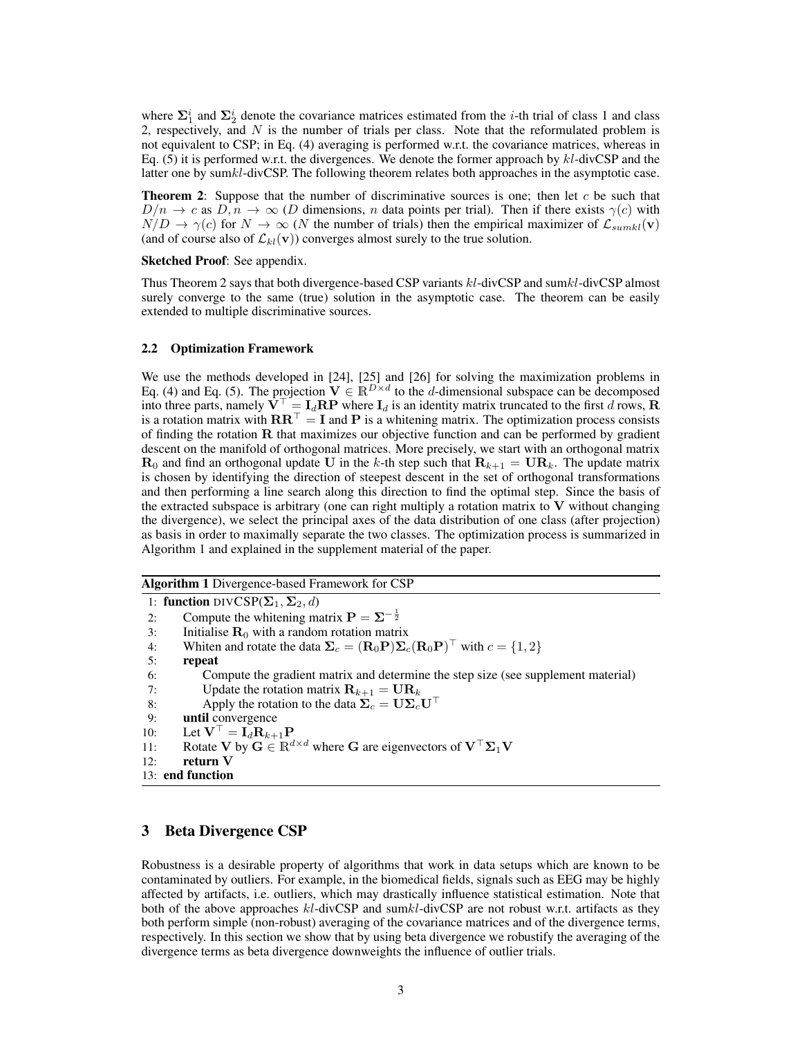where  $\Sigma_1^i$  and  $\Sigma_2^i$  denote the covariance matrices estimated from the *i*-th trial of class 1 and class 2, respectively, and  $N$  is the number of trials per class. Note that the reformulated problem is not equivalent to CSP; in Eq. (4) averaging is performed w.r.t. the covariance matrices, whereas in Eq.  $(5)$  it is performed w.r.t. the divergences. We denote the former approach by  $kl$ -divCSP and the latter one by sumkl-divCSP. The following theorem relates both approaches in the asymptotic case.

**Theorem 2:** Suppose that the number of discriminative sources is one; then let  $c$  be such that  $D/n \to c$  as  $D, n \to \infty$  (D dimensions, n data points per trial). Then if there exists  $\gamma(c)$  with  $N/D \to \gamma(c)$  for  $N \to \infty$  (N the number of trials) then the empirical maximizer of  $\mathcal{L}_{sumkl}(\mathbf{v})$ (and of course also of  $\mathcal{L}_{kl}(\mathbf{v})$ ) converges almost surely to the true solution.

Sketched Proof: See appendix.

Thus Theorem 2 says that both divergence-based CSP variants  $kl$ -divCSP and sum $kl$ -divCSP almost surely converge to the same (true) solution in the asymptotic case. The theorem can be easily extended to multiple discriminative sources.

#### 2.2 Optimization Framework

We use the methods developed in [24], [25] and [26] for solving the maximization problems in Eq. (4) and Eq. (5). The projection  $V \in \mathbb{R}^{D \times d}$  to the d-dimensional subspace can be decomposed into three parts, namely  $\overline{V}^{\top} = I_d \overline{RP}$  where  $I_d$  is an identity matrix truncated to the first d rows,  $\overline{R}$ is a rotation matrix with  $\mathbf{R}\mathbf{R}^{\top} = \mathbf{I}$  and P is a whitening matrix. The optimization process consists of finding the rotation  **that maximizes our objective function and can be performed by gradient** descent on the manifold of orthogonal matrices. More precisely, we start with an orthogonal matrix  **and find an orthogonal update U in the k-th step such that**  $**R**<sub>k+1</sub> = **UR**<sub>k</sub>$ **. The update matrix** is chosen by identifying the direction of steepest descent in the set of orthogonal transformations and then performing a line search along this direction to find the optimal step. Since the basis of the extracted subspace is arbitrary (one can right multiply a rotation matrix to  $V$  without changing the divergence), we select the principal axes of the data distribution of one class (after projection) as basis in order to maximally separate the two classes. The optimization process is summarized in Algorithm 1 and explained in the supplement material of the paper.

Algorithm 1 Divergence-based Framework for CSP

1: function DIVCSP( $\Sigma_1$ ,  $\Sigma_2$ , d) 2: Compute the whitening matrix  $\mathbf{P} = \mathbf{\Sigma}^{-\frac{1}{2}}$ 3: Initialise  $\mathbf{R}_0$  with a random rotation matrix 4: Whiten and rotate the data  $\Sigma_c = (\mathbf{R}_0 \mathbf{P}) \Sigma_c (\mathbf{R}_0 \mathbf{P})^\top$  with  $c = \{1, 2\}$ 5: repeat 6: Compute the gradient matrix and determine the step size (see supplement material) 7: Update the rotation matrix  $\mathbf{R}_{k+1} = \mathbf{U} \mathbf{R}_k$ 8: Apply the rotation to the data  $\Sigma_c = U \Sigma_c U^\top$ <br>9: **until** convergence until convergence 10: Let  $\mathbf{V}^{\top} = \mathbf{I}_d \mathbf{R}_{k+1} \mathbf{P}$ <br>11: Rotate **V** by  $\mathbf{G} \in \mathbb{R}^d$ Rotate V by  $G \in \mathbb{R}^{d \times d}$  where G are eigenvectors of  $V^\top \Sigma_1 V$ 12: return V 13: end function

## 3 Beta Divergence CSP

Robustness is a desirable property of algorithms that work in data setups which are known to be contaminated by outliers. For example, in the biomedical fields, signals such as EEG may be highly affected by artifacts, i.e. outliers, which may drastically influence statistical estimation. Note that both of the above approaches  $kl$ -divCSP and sum $kl$ -divCSP are not robust w.r.t. artifacts as they both perform simple (non-robust) averaging of the covariance matrices and of the divergence terms, respectively. In this section we show that by using beta divergence we robustify the averaging of the divergence terms as beta divergence downweights the influence of outlier trials.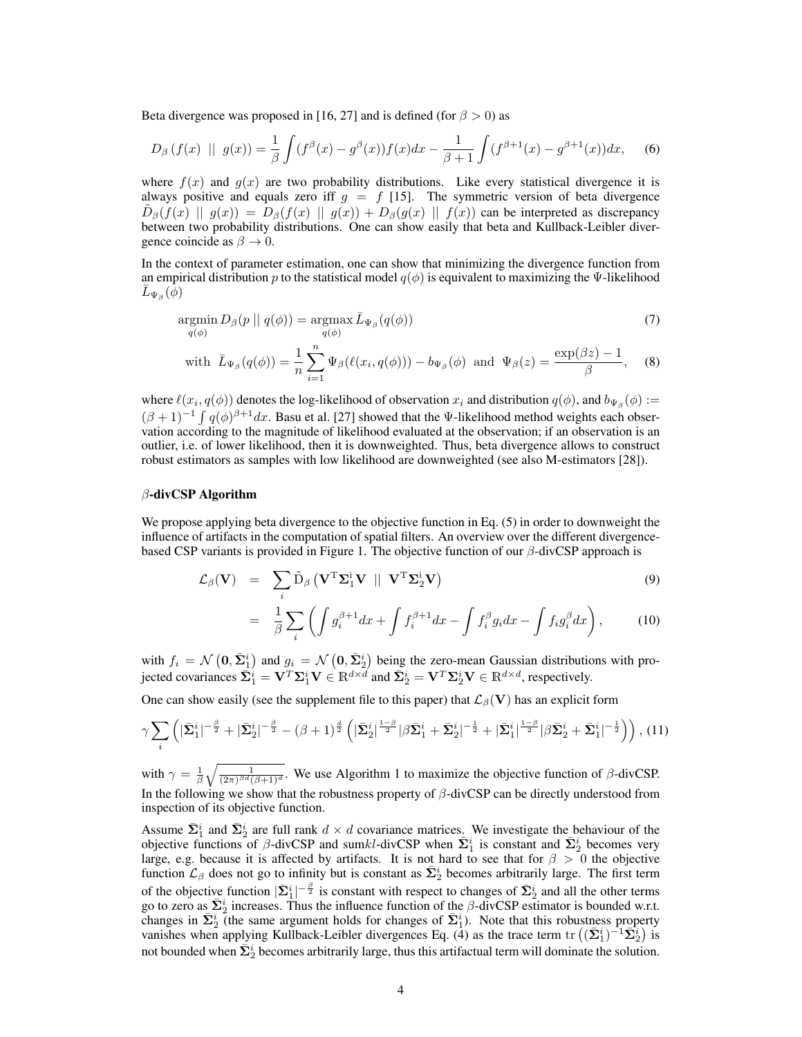Beta divergence was proposed in [16, 27] and is defined (for  $\beta > 0$ ) as

$$
D_{\beta}(f(x) \parallel g(x)) = \frac{1}{\beta} \int (f^{\beta}(x) - g^{\beta}(x)) f(x) dx - \frac{1}{\beta + 1} \int (f^{\beta + 1}(x) - g^{\beta + 1}(x)) dx, \quad (6)
$$

where  $f(x)$  and  $g(x)$  are two probability distributions. Like every statistical divergence it is always positive and equals zero iff  $g = f$  [15]. The symmetric version of beta divergence  $\tilde{D}_{\beta}(f(x) \parallel g(x)) = D_{\beta}(f(x) \parallel g(x)) + D_{\beta}(g(x) \parallel f(x))$  can be interpreted as discrepancy between two probability distributions. One can show easily that beta and Kullback-Leibler divergence coincide as  $\beta \to 0$ .

In the context of parameter estimation, one can show that minimizing the divergence function from an empirical distribution p to the statistical model  $q(\phi)$  is equivalent to maximizing the Ψ-likelihood  $\bar{L}_{\Psi\beta}(\dot{\phi})$ 

$$
\underset{q(\phi)}{\operatorname{argmin}} D_{\beta}(p \mid q(\phi)) = \underset{q(\phi)}{\operatorname{argmax}} \bar{L}_{\Psi_{\beta}}(q(\phi)) \tag{7}
$$

with 
$$
\bar{L}_{\Psi_{\beta}}(q(\phi)) = \frac{1}{n} \sum_{i=1}^{n} \Psi_{\beta}(\ell(x_i, q(\phi))) - b_{\Psi_{\beta}}(\phi)
$$
 and  $\Psi_{\beta}(z) = \frac{\exp(\beta z) - 1}{\beta}$ , (8)

where  $\ell(x_i, q(\phi))$  denotes the log-likelihood of observation  $x_i$  and distribution  $q(\phi)$ , and  $b_{\Psi_\beta}(\phi) :=$  $(\beta + 1)^{-1} \int q(\phi)^{\beta+1} dx$ . Basu et al. [27] showed that the Ψ-likelihood method weights each observation according to the magnitude of likelihood evaluated at the observation; if an observation is an outlier, i.e. of lower likelihood, then it is downweighted. Thus, beta divergence allows to construct robust estimators as samples with low likelihood are downweighted (see also M-estimators [28]).

#### $\beta$ -divCSP Algorithm

We propose applying beta divergence to the objective function in Eq.  $(5)$  in order to downweight the influence of artifacts in the computation of spatial filters. An overview over the different divergencebased CSP variants is provided in Figure 1. The objective function of our  $\beta$ -divCSP approach is

$$
\mathcal{L}_{\beta}(\mathbf{V}) = \sum_{i} \tilde{\mathbf{D}}_{\beta} \left( \mathbf{V}^{\mathrm{T}} \mathbf{\Sigma}_{1}^{i} \mathbf{V} \parallel \mathbf{V}^{\mathrm{T}} \mathbf{\Sigma}_{2}^{i} \mathbf{V} \right)
$$
(9)

$$
= \frac{1}{\beta} \sum_{i} \left( \int g_i^{\beta+1} dx + \int f_i^{\beta+1} dx - \int f_i^{\beta} g_i dx - \int f_i g_i^{\beta} dx \right), \tag{10}
$$

with  $f_i = \mathcal{N}(\mathbf{0}, \bar{\mathbf{\Sigma}}_1^i)$  and  $g_i = \mathcal{N}(\mathbf{0}, \bar{\mathbf{\Sigma}}_2^i)$  being the zero-mean Gaussian distributions with projected covariances  $\bar{\mathbf{\Sigma}}^i_1 = \mathbf{V}^T\mathbf{\Sigma}^i_1\mathbf{V} \in \mathbb{R}^{d \times d}$  and  $\bar{\mathbf{\Sigma}}^i_2 = \mathbf{V}^T\mathbf{\Sigma}^i_2\mathbf{V} \in \mathbb{R}^{d \times d}$ , respectively.

One can show easily (see the supplement file to this paper) that  $\mathcal{L}_{\beta}(\mathbf{V})$  has an explicit form

$$
\gamma \sum_{i} \left( |\bar{\Sigma}_{1}^{i}|^{-\frac{\beta}{2}} + |\bar{\Sigma}_{2}^{i}|^{-\frac{\beta}{2}} - (\beta + 1)^{\frac{d}{2}} \left( |\bar{\Sigma}_{2}^{i}|^{\frac{1-\beta}{2}} |\beta \bar{\Sigma}_{1}^{i} + \bar{\Sigma}_{2}^{i}|^{-\frac{1}{2}} + |\bar{\Sigma}_{1}^{i}|^{\frac{1-\beta}{2}} |\beta \bar{\Sigma}_{2}^{i} + \bar{\Sigma}_{1}^{i}|^{-\frac{1}{2}} \right) \right), (11)
$$

with  $\gamma = \frac{1}{\beta} \sqrt{\frac{1}{(2\pi)^{\beta d}(\beta+1)^d}}$ . We use Algorithm 1 to maximize the objective function of  $\beta$ -divCSP. In the following we show that the robustness property of  $\beta$ -divCSP can be directly understood from inspection of its objective function.

Assume  $\bar{\Sigma}_1^i$  and  $\bar{\Sigma}_2^i$  are full rank  $d \times d$  covariance matrices. We investigate the behaviour of the objective functions of  $\beta$ -divCSP and sumkl-divCSP when  $\bar{\Sigma}_1^i$  is constant and  $\bar{\Sigma}_2^i$  becomes very large, e.g. because it is affected by artifacts. It is not hard to see that for  $\beta > 0$  the objective function  $\mathcal{L}_{\beta}$  does not go to infinity but is constant as  $\bar{\Sigma}_2^i$  becomes arbitrarily large. The first term of the objective function  $|\bar{\Sigma}_1^i|^{-\frac{\beta}{2}}$  is constant with respect to changes of  $\bar{\Sigma}_2^i$  and all the other terms go to zero as  $\bar{\Sigma}_2^i$  increases. Thus the influence function of the  $\beta$ -divCSP estimator is bounded w.r.t. changes in  $\bar{\Sigma}_2^i$  (the same argument holds for changes of  $\bar{\Sigma}_1^i$ ). Note that this robustness property vanishes when applying Kullback-Leibler divergences Eq. (4) as the trace term tr  $((\bar{\Sigma}_1^i)^{-1}\bar{\Sigma}_2^i)$  is not bounded when  $\bar{\Sigma}_2^i$  becomes arbitrarily large, thus this artifactual term will dominate the solution.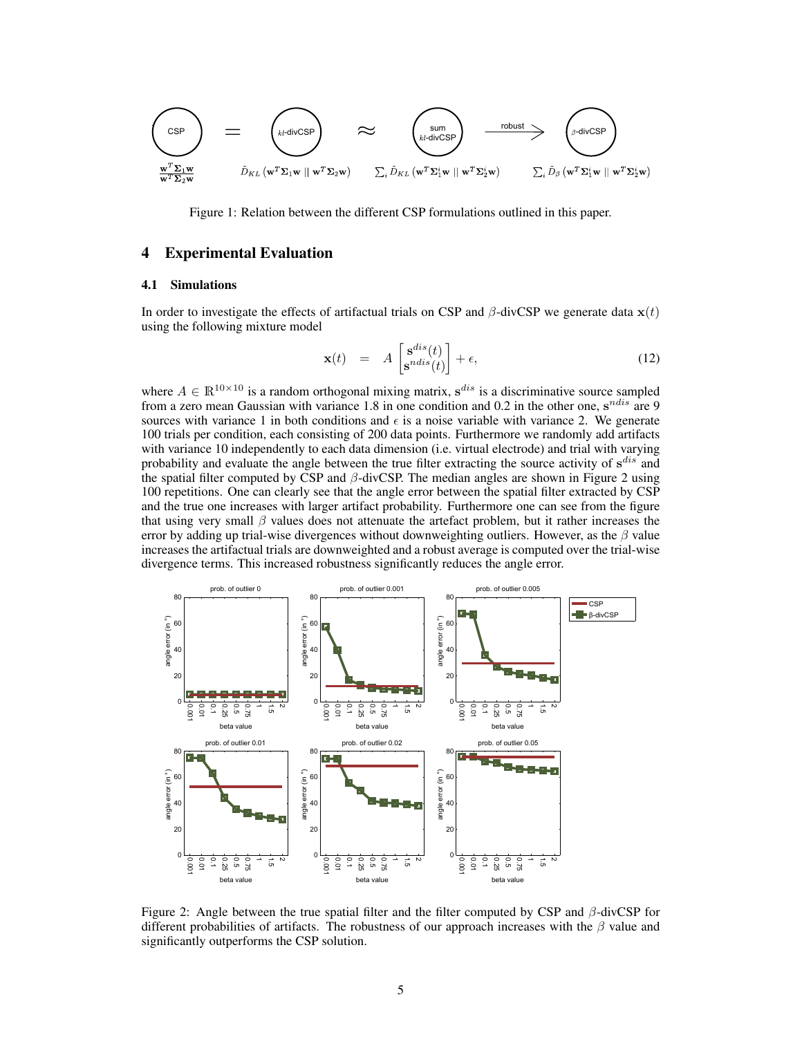$$
\boxed{\text{CSP}}_{\text{w}^T \Sigma_1 \text{w}} = \bigotimes_{\tilde{E} \in \text{divCSP}} \sum_{\tilde{D}_{KL} \text{w}^T \Sigma_1 \text{w} \; \parallel \; \text{w}^T \Sigma_2 \text{w}}} \approx \bigotimes_{\tilde{E} \cdot \text{divCSP}} \underbrace{\text{sum}_{\text{sum} \cup \tilde{D}_{KL} \text{w}^T \Sigma_1 \text{w}} \cdots \text{sum}}_{\sum_i \tilde{D}_{KL} \text{w}^T \Sigma_1 \text{w} \; \parallel \; \text{w}^T \Sigma_2 \text{w}}} \underbrace{\text{matrix} \rightarrow \text{covist}}_{\sum_i \tilde{D}_{\beta} \text{w}^T \Sigma_1 \text{w} \; \parallel \; \text{w}^T \Sigma_2 \text{w}})
$$

Figure 1: Relation between the different CSP formulations outlined in this paper.

# 4 Experimental Evaluation

#### 4.1 Simulations

In order to investigate the effects of artifactual trials on CSP and  $\beta$ -divCSP we generate data  $\mathbf{x}(t)$ using the following mixture model

$$
\mathbf{x}(t) = A \begin{bmatrix} \mathbf{s}^{dis}(t) \\ \mathbf{s}^{ndis}(t) \end{bmatrix} + \epsilon,
$$
\n(12)

where  $A \in \mathbb{R}^{10 \times 10}$  is a random orthogonal mixing matrix,  $s^{dis}$  is a discriminative source sampled from a zero mean Gaussian with variance 1.8 in one condition and 0.2 in the other one,  $s^{ndis}$  are 9 sources with variance 1 in both conditions and  $\epsilon$  is a noise variable with variance 2. We generate 100 trials per condition, each consisting of 200 data points. Furthermore we randomly add artifacts with variance 10 independently to each data dimension (i.e. virtual electrode) and trial with varying probability and evaluate the angle between the true filter extracting the source activity of  $s^{dis}$  and the spatial filter computed by CSP and  $\beta$ -divCSP. The median angles are shown in Figure 2 using 100 repetitions. One can clearly see that the angle error between the spatial filter extracted by CSP and the true one increases with larger artifact probability. Furthermore one can see from the figure that using very small  $\beta$  values does not attenuate the artefact problem, but it rather increases the error by adding up trial-wise divergences without downweighting outliers. However, as the  $\beta$  value increases the artifactual trials are downweighted and a robust average is computed over the trial-wise divergence terms. This increased robustness significantly reduces the angle error.



Figure 2: Angle between the true spatial filter and the filter computed by CSP and  $\beta$ -divCSP for different probabilities of artifacts. The robustness of our approach increases with the  $\beta$  value and significantly outperforms the CSP solution.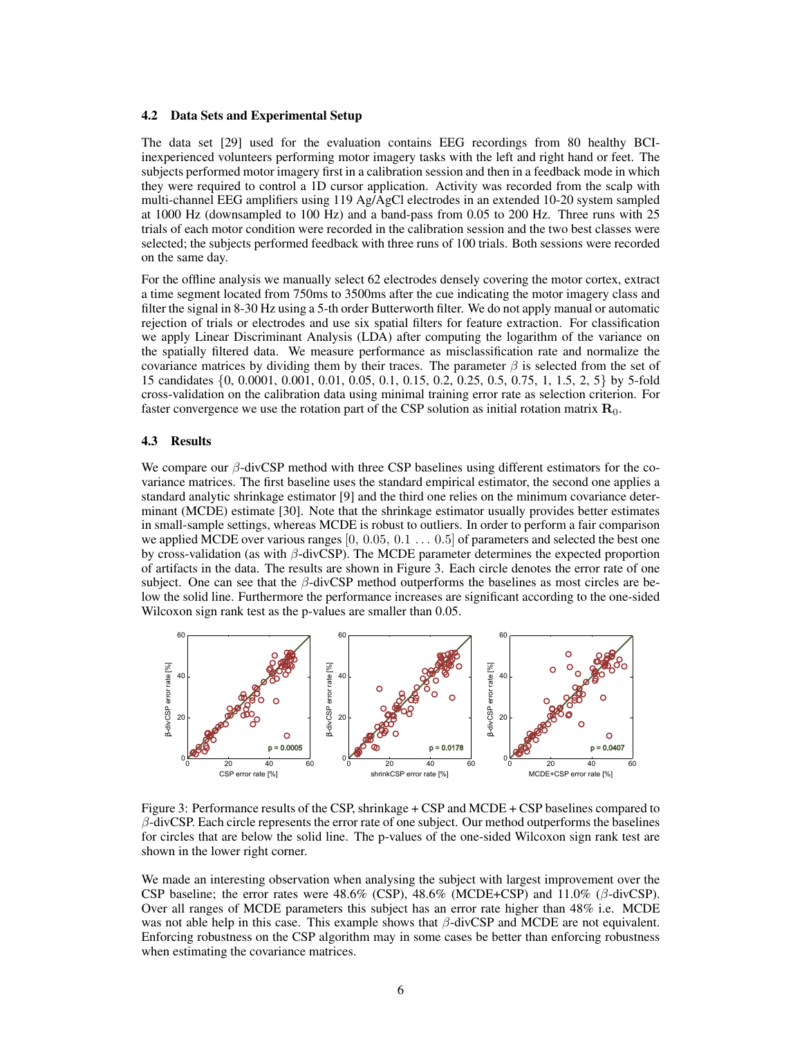#### 4.2 Data Sets and Experimental Setup

The data set [29] used for the evaluation contains EEG recordings from 80 healthy BCIinexperienced volunteers performing motor imagery tasks with the left and right hand or feet. The subjects performed motor imagery first in a calibration session and then in a feedback mode in which they were required to control a 1D cursor application. Activity was recorded from the scalp with multi-channel EEG amplifiers using 119 Ag/AgCl electrodes in an extended 10-20 system sampled at 1000 Hz (downsampled to 100 Hz) and a band-pass from 0.05 to 200 Hz. Three runs with 25 trials of each motor condition were recorded in the calibration session and the two best classes were selected; the subjects performed feedback with three runs of 100 trials. Both sessions were recorded on the same day.

For the offline analysis we manually select 62 electrodes densely covering the motor cortex, extract a time segment located from 750ms to 3500ms after the cue indicating the motor imagery class and filter the signal in 8-30 Hz using a 5-th order Butterworth filter. We do not apply manual or automatic rejection of trials or electrodes and use six spatial filters for feature extraction. For classification we apply Linear Discriminant Analysis (LDA) after computing the logarithm of the variance on the spatially filtered data. We measure performance as misclassification rate and normalize the covariance matrices by dividing them by their traces. The parameter  $\beta$  is selected from the set of 15 candidates {0, 0.0001, 0.001, 0.01, 0.05, 0.1, 0.15, 0.2, 0.25, 0.5, 0.75, 1, 1.5, 2, 5} by 5-fold cross-validation on the calibration data using minimal training error rate as selection criterion. For faster convergence we use the rotation part of the CSP solution as initial rotation matrix  $\mathbf{R}_{0}$ .

#### 4.3 Results

We compare our  $\beta$ -divCSP method with three CSP baselines using different estimators for the covariance matrices. The first baseline uses the standard empirical estimator, the second one applies a standard analytic shrinkage estimator [9] and the third one relies on the minimum covariance determinant (MCDE) estimate [30]. Note that the shrinkage estimator usually provides better estimates in small-sample settings, whereas MCDE is robust to outliers. In order to perform a fair comparison we applied MCDE over various ranges  $[0, 0.05, 0.1 \dots 0.5]$  of parameters and selected the best one by cross-validation (as with  $\beta$ -divCSP). The MCDE parameter determines the expected proportion of artifacts in the data. The results are shown in Figure 3. Each circle denotes the error rate of one subject. One can see that the  $\beta$ -divCSP method outperforms the baselines as most circles are below the solid line. Furthermore the performance increases are significant according to the one-sided Wilcoxon sign rank test as the p-values are smaller than 0.05.



Figure 3: Performance results of the CSP, shrinkage + CSP and MCDE + CSP baselines compared to  $\beta$ -divCSP. Each circle represents the error rate of one subject. Our method outperforms the baselines for circles that are below the solid line. The p-values of the one-sided Wilcoxon sign rank test are shown in the lower right corner.

We made an interesting observation when analysing the subject with largest improvement over the CSP baseline; the error rates were  $48.6\%$  (CSP),  $48.6\%$  (MCDE+CSP) and  $11.0\%$  ( $\beta$ -divCSP). Over all ranges of MCDE parameters this subject has an error rate higher than 48% i.e. MCDE was not able help in this case. This example shows that  $\beta$ -divCSP and MCDE are not equivalent. Enforcing robustness on the CSP algorithm may in some cases be better than enforcing robustness when estimating the covariance matrices.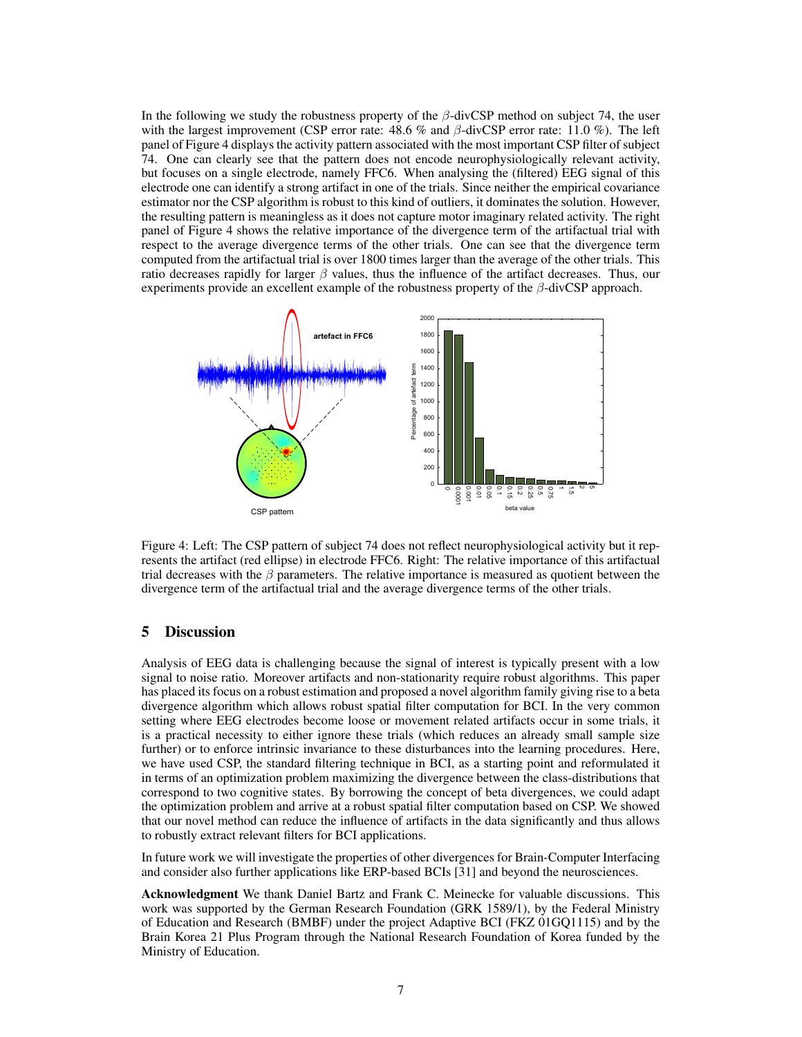In the following we study the robustness property of the  $\beta$ -divCSP method on subject 74, the user with the largest improvement (CSP error rate:  $48.6\%$  and  $\beta$ -divCSP error rate: 11.0 %). The left panel of Figure 4 displays the activity pattern associated with the most important CSP filter of subject 74. One can clearly see that the pattern does not encode neurophysiologically relevant activity, but focuses on a single electrode, namely FFC6. When analysing the (filtered) EEG signal of this electrode one can identify a strong artifact in one of the trials. Since neither the empirical covariance estimator nor the CSP algorithm is robust to this kind of outliers, it dominates the solution. However, the resulting pattern is meaningless as it does not capture motor imaginary related activity. The right panel of Figure 4 shows the relative importance of the divergence term of the artifactual trial with respect to the average divergence terms of the other trials. One can see that the divergence term computed from the artifactual trial is over 1800 times larger than the average of the other trials. This ratio decreases rapidly for larger  $\beta$  values, thus the influence of the artifact decreases. Thus, our experiments provide an excellent example of the robustness property of the  $\beta$ -divCSP approach.



Figure 4: Left: The CSP pattern of subject 74 does not reflect neurophysiological activity but it represents the artifact (red ellipse) in electrode FFC6. Right: The relative importance of this artifactual trial decreases with the  $\beta$  parameters. The relative importance is measured as quotient between the divergence term of the artifactual trial and the average divergence terms of the other trials.

# 5 Discussion

Analysis of EEG data is challenging because the signal of interest is typically present with a low signal to noise ratio. Moreover artifacts and non-stationarity require robust algorithms. This paper has placed its focus on a robust estimation and proposed a novel algorithm family giving rise to a beta divergence algorithm which allows robust spatial filter computation for BCI. In the very common setting where EEG electrodes become loose or movement related artifacts occur in some trials, it is a practical necessity to either ignore these trials (which reduces an already small sample size further) or to enforce intrinsic invariance to these disturbances into the learning procedures. Here, we have used CSP, the standard filtering technique in BCI, as a starting point and reformulated it in terms of an optimization problem maximizing the divergence between the class-distributions that correspond to two cognitive states. By borrowing the concept of beta divergences, we could adapt the optimization problem and arrive at a robust spatial filter computation based on CSP. We showed that our novel method can reduce the influence of artifacts in the data significantly and thus allows to robustly extract relevant filters for BCI applications.

In future work we will investigate the properties of other divergences for Brain-Computer Interfacing and consider also further applications like ERP-based BCIs [31] and beyond the neurosciences.

Acknowledgment We thank Daniel Bartz and Frank C. Meinecke for valuable discussions. This work was supported by the German Research Foundation (GRK 1589/1), by the Federal Ministry of Education and Research (BMBF) under the project Adaptive BCI (FKZ 01GQ1115) and by the Brain Korea 21 Plus Program through the National Research Foundation of Korea funded by the Ministry of Education.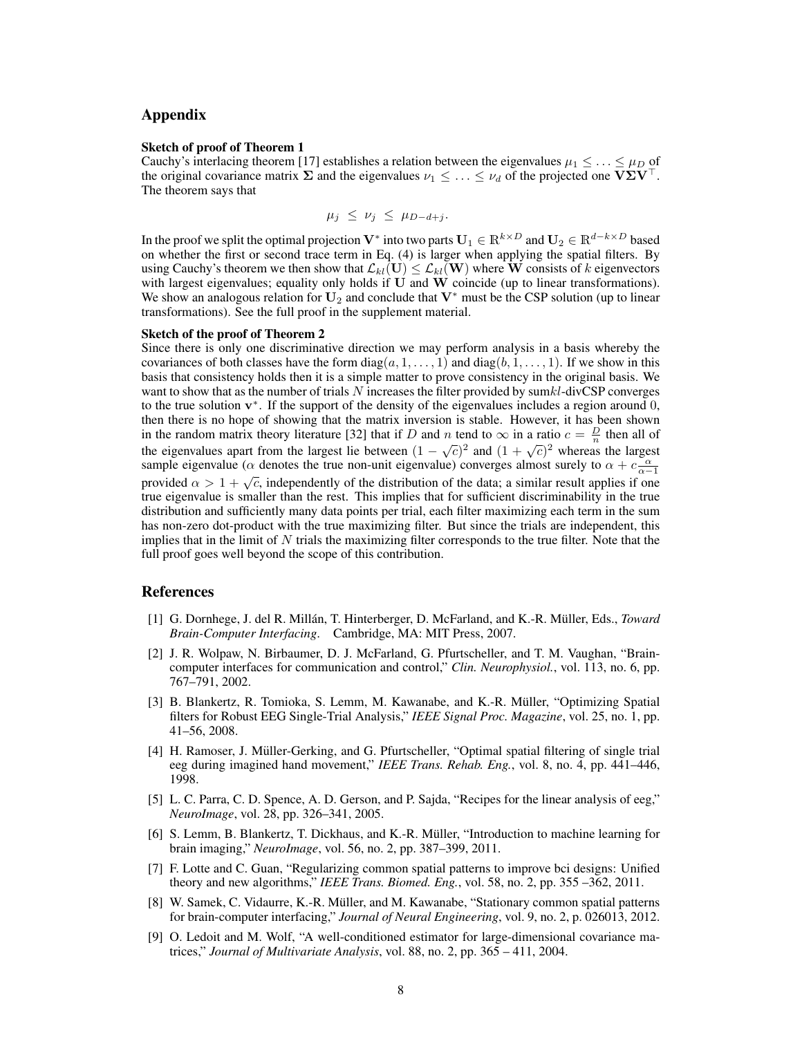## Appendix

#### Sketch of proof of Theorem 1

Cauchy's interlacing theorem [17] establishes a relation between the eigenvalues  $\mu_1 \leq \ldots \leq \mu_D$  of the original covariance matrix  $\Sigma$  and the eigenvalues  $\nu_1 \leq \ldots \leq \nu_d$  of the projected one  $V\Sigma V^{\top}$ . The theorem says that

$$
\mu_j \leq \nu_j \leq \mu_{D-d+j}.
$$

In the proof we split the optimal projection  $V^*$  into two parts  $U_1\in\mathbb{R}^{k\times D}$  and  $U_2\in\mathbb{R}^{d-k\times D}$  based on whether the first or second trace term in Eq. (4) is larger when applying the spatial filters. By using Cauchy's theorem we then show that  $\mathcal{L}_{kl}(\mathbf{U}) \leq \mathcal{L}_{kl}(\mathbf{W})$  where W consists of k eigenvectors with largest eigenvalues; equality only holds if  $U$  and  $W$  coincide (up to linear transformations). We show an analogous relation for  $U_2$  and conclude that  $V^*$  must be the CSP solution (up to linear transformations). See the full proof in the supplement material.

#### Sketch of the proof of Theorem 2

Since there is only one discriminative direction we may perform analysis in a basis whereby the covariances of both classes have the form  $diag(a, 1, \ldots, 1)$  and  $diag(b, 1, \ldots, 1)$ . If we show in this basis that consistency holds then it is a simple matter to prove consistency in the original basis. We want to show that as the number of trials  $N$  increases the filter provided by sum $kl$ -divCSP converges to the true solution  $v^*$ . If the support of the density of the eigenvalues includes a region around 0, then there is no hope of showing that the matrix inversion is stable. However, it has been shown in the random matrix theory literature [32] that if D and n tend to  $\infty$  in a ratio  $c = \frac{D}{n}$  then all of the eigenvalues apart from the largest lie between  $(1 - \sqrt{c})^2$  and  $(1 + \sqrt{c})^2$  whereas the largest sample eigenvalue ( $\alpha$  denotes the true non-unit eigenvalue) converges almost surely to  $\alpha + c \frac{\alpha}{\alpha - 1}$ provided  $\alpha > 1 + \sqrt{c}$ , independently of the distribution of the data; a similar result applies if one true eigenvalue is smaller than the rest. This implies that for sufficient discriminability in the true distribution and sufficiently many data points per trial, each filter maximizing each term in the sum has non-zero dot-product with the true maximizing filter. But since the trials are independent, this implies that in the limit of  $N$  trials the maximizing filter corresponds to the true filter. Note that the full proof goes well beyond the scope of this contribution.

## References

- [1] G. Dornhege, J. del R. Millán, T. Hinterberger, D. McFarland, and K.-R. Müller, Eds., *Toward Brain-Computer Interfacing*. Cambridge, MA: MIT Press, 2007.
- [2] J. R. Wolpaw, N. Birbaumer, D. J. McFarland, G. Pfurtscheller, and T. M. Vaughan, "Braincomputer interfaces for communication and control," *Clin. Neurophysiol.*, vol. 113, no. 6, pp. 767–791, 2002.
- [3] B. Blankertz, R. Tomioka, S. Lemm, M. Kawanabe, and K.-R. Muller, "Optimizing Spatial ¨ filters for Robust EEG Single-Trial Analysis," *IEEE Signal Proc. Magazine*, vol. 25, no. 1, pp. 41–56, 2008.
- [4] H. Ramoser, J. Müller-Gerking, and G. Pfurtscheller, "Optimal spatial filtering of single trial eeg during imagined hand movement," *IEEE Trans. Rehab. Eng.*, vol. 8, no. 4, pp. 441–446, 1998.
- [5] L. C. Parra, C. D. Spence, A. D. Gerson, and P. Sajda, "Recipes for the linear analysis of eeg," *NeuroImage*, vol. 28, pp. 326–341, 2005.
- [6] S. Lemm, B. Blankertz, T. Dickhaus, and K.-R. Müller, "Introduction to machine learning for brain imaging," *NeuroImage*, vol. 56, no. 2, pp. 387–399, 2011.
- [7] F. Lotte and C. Guan, "Regularizing common spatial patterns to improve bci designs: Unified theory and new algorithms," *IEEE Trans. Biomed. Eng.*, vol. 58, no. 2, pp. 355 –362, 2011.
- [8] W. Samek, C. Vidaurre, K.-R. Müller, and M. Kawanabe, "Stationary common spatial patterns for brain-computer interfacing," *Journal of Neural Engineering*, vol. 9, no. 2, p. 026013, 2012.
- [9] O. Ledoit and M. Wolf, "A well-conditioned estimator for large-dimensional covariance matrices," *Journal of Multivariate Analysis*, vol. 88, no. 2, pp. 365 – 411, 2004.